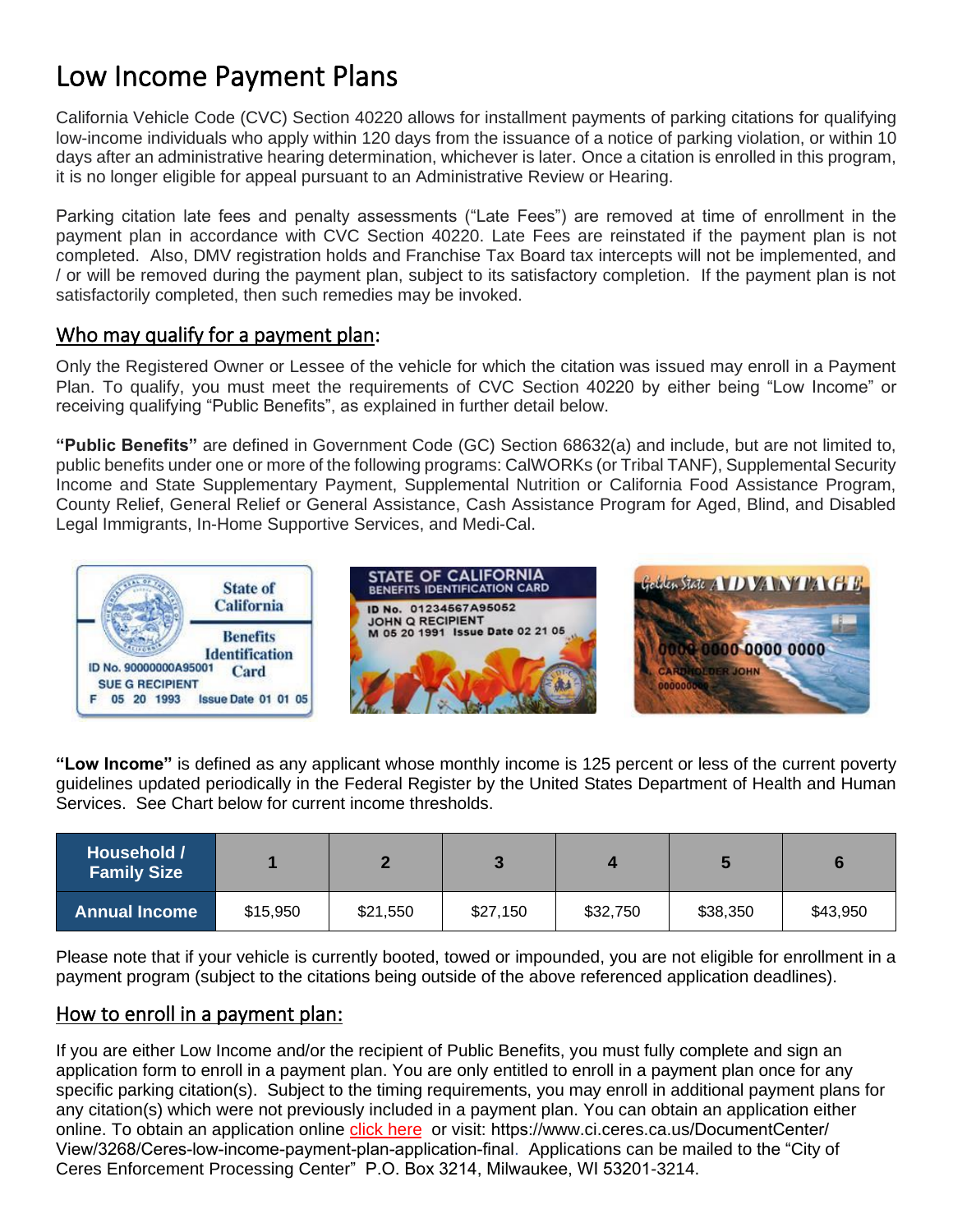# Low Income Payment Plans

California Vehicle Code (CVC) Section 40220 allows for installment payments of parking citations for qualifying low-income individuals who apply within 120 days from the issuance of a notice of parking violation, or within 10 days after an administrative hearing determination, whichever is later. Once a citation is enrolled in this program, it is no longer eligible for appeal pursuant to an Administrative Review or Hearing.

Parking citation late fees and penalty assessments ("Late Fees") are removed at time of enrollment in the payment plan in accordance with CVC Section 40220. Late Fees are reinstated if the payment plan is not completed. Also, DMV registration holds and Franchise Tax Board tax intercepts will not be implemented, and / or will be removed during the payment plan, subject to its satisfactory completion. If the payment plan is not satisfactorily completed, then such remedies may be invoked.

# Who may qualify for a payment plan:

Only the Registered Owner or Lessee of the vehicle for which the citation was issued may enroll in a Payment Plan. To qualify, you must meet the requirements of CVC Section 40220 by either being "Low Income" or receiving qualifying "Public Benefits", as explained in further detail below.

**"Public Benefits"** are defined in Government Code (GC) Section 68632(a) and include, but are not limited to, public benefits under one or more of the following programs: CalWORKs (or Tribal TANF), Supplemental Security Income and State Supplementary Payment, Supplemental Nutrition or California Food Assistance Program, County Relief, General Relief or General Assistance, Cash Assistance Program for Aged, Blind, and Disabled Legal Immigrants, In-Home Supportive Services, and Medi-Cal.



**"Low Income"** is defined as any applicant whose monthly income is 125 percent or less of the current poverty guidelines updated periodically in the Federal Register by the United States Department of Health and Human Services.See Chart below for current income thresholds.

| Household /<br><b>Family Size</b> |          |          |          |          |          |          |
|-----------------------------------|----------|----------|----------|----------|----------|----------|
| <b>Annual Income</b>              | \$15,950 | \$21,550 | \$27,150 | \$32,750 | \$38,350 | \$43,950 |

Please note that if your vehicle is currently booted, towed or impounded, you are not eligible for enrollment in a payment program (subject to the citations being outside of the above referenced application deadlines).

# How to enroll in a payment plan:

If you are either Low Income and/or the recipient of Public Benefits, you must fully complete and sign an application form to enroll in a payment plan. You are only entitled to enroll in a payment plan once for any specific parking citation(s). Subject to the timing requirements, you may enroll in additional payment plans for any citation(s) which were not previously included in a payment plan. You can obtain an application either online. To obtain an application online [click here](https://www.ci.ceres.ca.us/DocumentCenter/View/3268/Ceres-Low-Income-Payment-Plan-Application-Final) or visit: https://www.ci.ceres.ca.us/DocumentCenter/ View/3268/Ceres-low-income-payment-plan-application-final. Applications can be mailed to the "City of Ceres Enforcement Processing Center" P.O. Box 3214, Milwaukee, WI 53201-3214.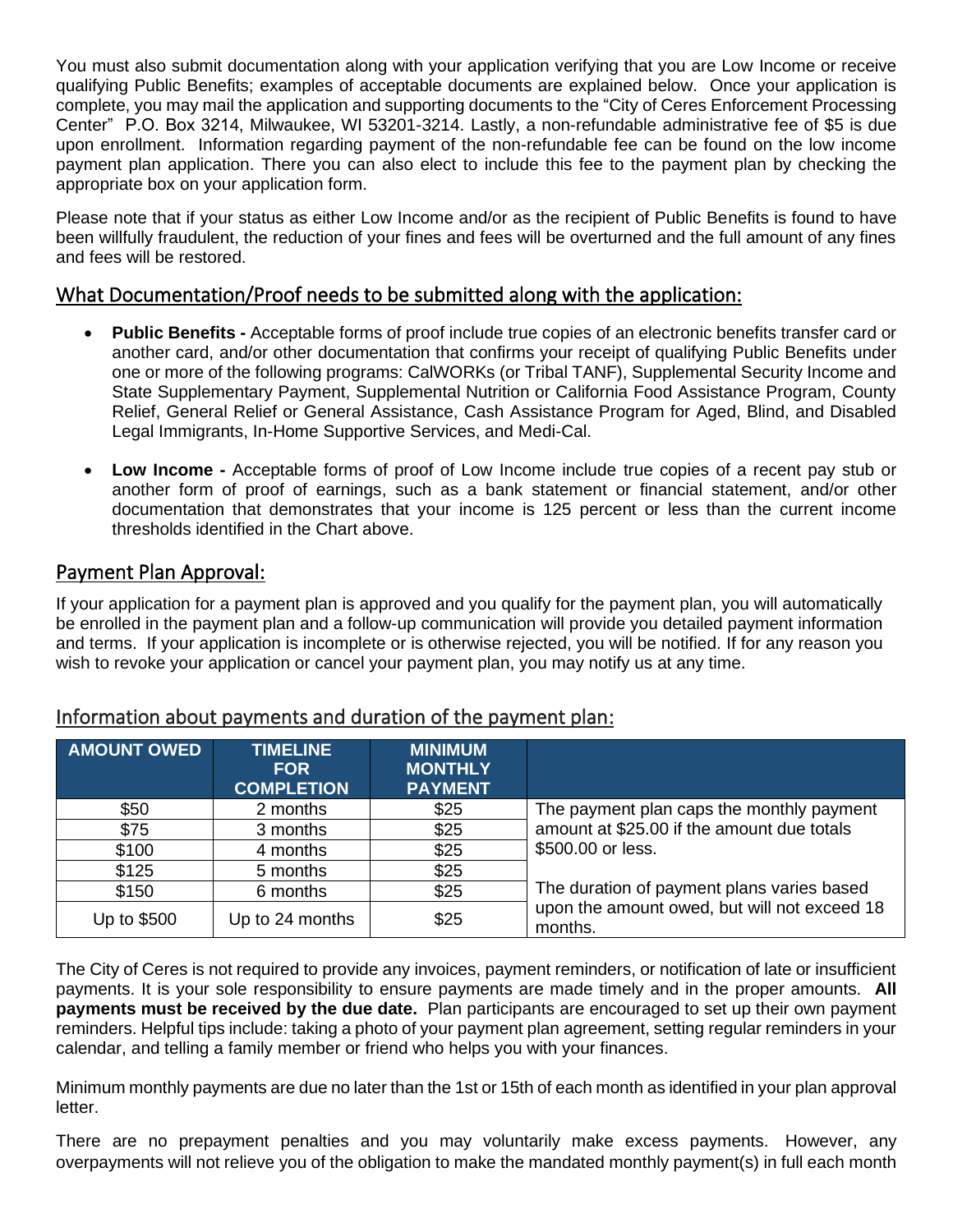You must also submit documentation along with your application verifying that you are Low Income or receive qualifying Public Benefits; examples of acceptable documents are explained below. Once your application is complete, you may mail the application and supporting documents to the "City of Ceres Enforcement Processing Center" P.O. Box 3214, Milwaukee, WI 53201-3214. Lastly, a non-refundable administrative fee of \$5 is due upon enrollment. Information regarding payment of the non-refundable fee can be found on the low income payment plan application. There you can also elect to include this fee to the payment plan by checking the appropriate box on your application form.

Please note that if your status as either Low Income and/or as the recipient of Public Benefits is found to have been willfully fraudulent, the reduction of your fines and fees will be overturned and the full amount of any fines and fees will be restored.

#### What Documentation/Proof needs to be submitted along with the application:

- **Public Benefits -** Acceptable forms of proof include true copies of an electronic benefits transfer card or another card, and/or other documentation that confirms your receipt of qualifying Public Benefits under one or more of the following programs: CalWORKs (or Tribal TANF), Supplemental Security Income and State Supplementary Payment, Supplemental Nutrition or California Food Assistance Program, County Relief, General Relief or General Assistance, Cash Assistance Program for Aged, Blind, and Disabled Legal Immigrants, In-Home Supportive Services, and Medi-Cal.
- **Low Income -** Acceptable forms of proof of Low Income include true copies of a recent pay stub or another form of proof of earnings, such as a bank statement or financial statement, and/or other documentation that demonstrates that your income is 125 percent or less than the current income thresholds identified in the Chart above.

## Payment Plan Approval:

If your application for a payment plan is approved and you qualify for the payment plan, you will automatically be enrolled in the payment plan and a follow-up communication will provide you detailed payment information and terms. If your application is incomplete or is otherwise rejected, you will be notified. If for any reason you wish to revoke your application or cancel your payment plan, you may notify us at any time.

| <b>AMOUNT OWED</b>             | <b>TIMELINE</b><br><b>FOR</b><br><b>COMPLETION</b> | <b>MINIMUM</b><br><b>MONTHLY</b><br><b>PAYMENT</b> |                                                         |  |
|--------------------------------|----------------------------------------------------|----------------------------------------------------|---------------------------------------------------------|--|
| \$50                           | 2 months                                           | \$25                                               | The payment plan caps the monthly payment               |  |
| \$75                           | 3 months                                           | \$25                                               | amount at \$25.00 if the amount due totals              |  |
| \$100                          | 4 months                                           | \$25                                               | \$500.00 or less.                                       |  |
| \$125                          | 5 months                                           | \$25                                               |                                                         |  |
| \$150                          | 6 months                                           | \$25                                               | The duration of payment plans varies based              |  |
| Up to \$500<br>Up to 24 months |                                                    | \$25                                               | upon the amount owed, but will not exceed 18<br>months. |  |

#### Information about payments and duration of the payment plan:

The City of Ceres is not required to provide any invoices, payment reminders, or notification of late or insufficient payments. It is your sole responsibility to ensure payments are made timely and in the proper amounts. **All payments must be received by the due date.** Plan participants are encouraged to set up their own payment reminders. Helpful tips include: taking a photo of your payment plan agreement, setting regular reminders in your calendar, and telling a family member or friend who helps you with your finances.

Minimum monthly payments are due no later than the 1st or 15th of each month as identified in your plan approval letter.

There are no prepayment penalties and you may voluntarily make excess payments. However, any overpayments will not relieve you of the obligation to make the mandated monthly payment(s) in full each month